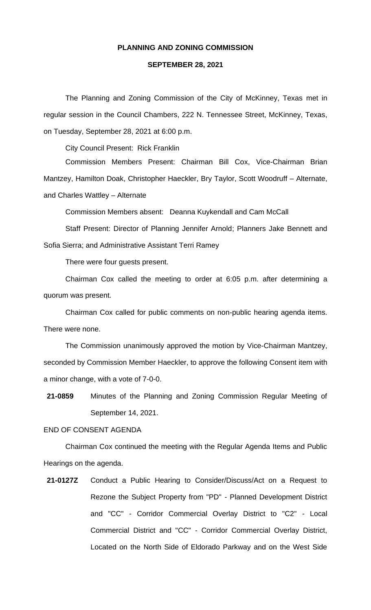## **PLANNING AND ZONING COMMISSION**

## **SEPTEMBER 28, 2021**

The Planning and Zoning Commission of the City of McKinney, Texas met in regular session in the Council Chambers, 222 N. Tennessee Street, McKinney, Texas, on Tuesday, September 28, 2021 at 6:00 p.m.

City Council Present: Rick Franklin

Commission Members Present: Chairman Bill Cox, Vice-Chairman Brian Mantzey, Hamilton Doak, Christopher Haeckler, Bry Taylor, Scott Woodruff – Alternate, and Charles Wattley – Alternate

Commission Members absent: Deanna Kuykendall and Cam McCall

Staff Present: Director of Planning Jennifer Arnold; Planners Jake Bennett and Sofia Sierra; and Administrative Assistant Terri Ramey

There were four guests present.

Chairman Cox called the meeting to order at 6:05 p.m. after determining a quorum was present.

Chairman Cox called for public comments on non-public hearing agenda items. There were none.

The Commission unanimously approved the motion by Vice-Chairman Mantzey, seconded by Commission Member Haeckler, to approve the following Consent item with a minor change, with a vote of 7-0-0.

**21-0859** Minutes of the Planning and Zoning Commission Regular Meeting of September 14, 2021.

## END OF CONSENT AGENDA

Chairman Cox continued the meeting with the Regular Agenda Items and Public Hearings on the agenda.

**21-0127Z** Conduct a Public Hearing to Consider/Discuss/Act on a Request to Rezone the Subject Property from "PD" - Planned Development District and "CC" - Corridor Commercial Overlay District to "C2" - Local Commercial District and "CC" - Corridor Commercial Overlay District, Located on the North Side of Eldorado Parkway and on the West Side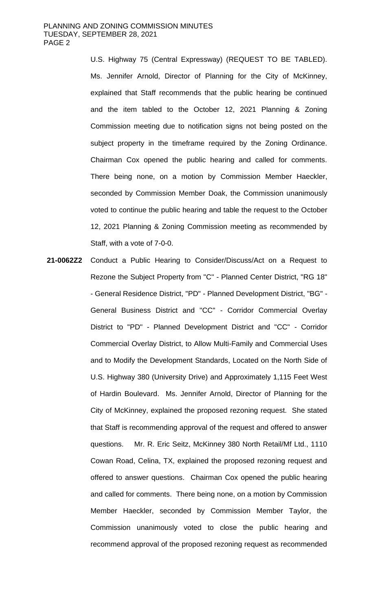U.S. Highway 75 (Central Expressway) (REQUEST TO BE TABLED). Ms. Jennifer Arnold, Director of Planning for the City of McKinney, explained that Staff recommends that the public hearing be continued and the item tabled to the October 12, 2021 Planning & Zoning Commission meeting due to notification signs not being posted on the subject property in the timeframe required by the Zoning Ordinance. Chairman Cox opened the public hearing and called for comments. There being none, on a motion by Commission Member Haeckler, seconded by Commission Member Doak, the Commission unanimously voted to continue the public hearing and table the request to the October 12, 2021 Planning & Zoning Commission meeting as recommended by Staff, with a vote of 7-0-0.

**21-0062Z2** Conduct a Public Hearing to Consider/Discuss/Act on a Request to Rezone the Subject Property from "C" - Planned Center District, "RG 18" - General Residence District, "PD" - Planned Development District, "BG" - General Business District and "CC" - Corridor Commercial Overlay District to "PD" - Planned Development District and "CC" - Corridor Commercial Overlay District, to Allow Multi-Family and Commercial Uses and to Modify the Development Standards, Located on the North Side of U.S. Highway 380 (University Drive) and Approximately 1,115 Feet West of Hardin Boulevard. Ms. Jennifer Arnold, Director of Planning for the City of McKinney, explained the proposed rezoning request. She stated that Staff is recommending approval of the request and offered to answer questions. Mr. R. Eric Seitz, McKinney 380 North Retail/Mf Ltd., 1110 Cowan Road, Celina, TX, explained the proposed rezoning request and offered to answer questions. Chairman Cox opened the public hearing and called for comments. There being none, on a motion by Commission Member Haeckler, seconded by Commission Member Taylor, the Commission unanimously voted to close the public hearing and recommend approval of the proposed rezoning request as recommended